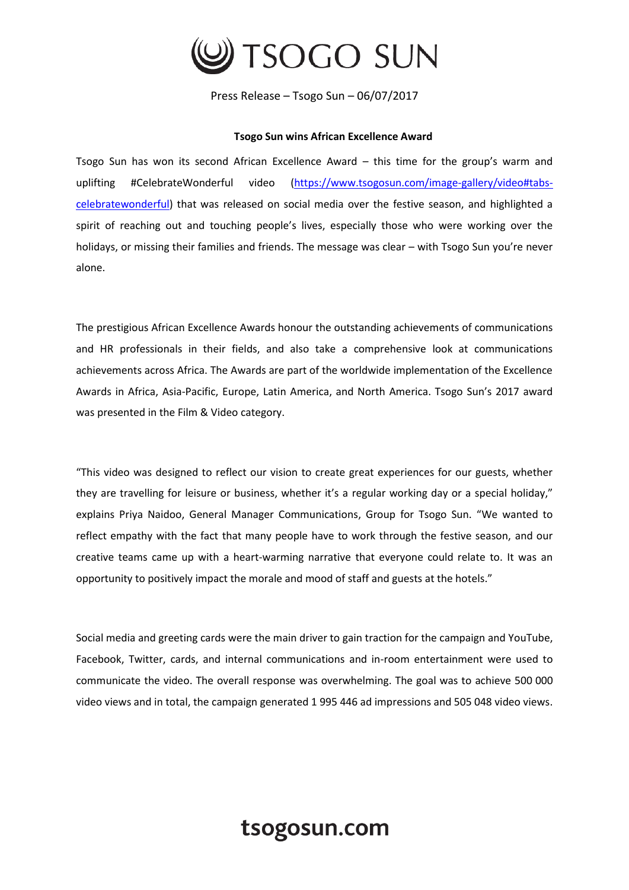

Press Release – Tsogo Sun – 06/07/2017

## **Tsogo Sun wins African Excellence Award**

Tsogo Sun has won its second African Excellence Award – this time for the group's warm and uplifting #CelebrateWonderful video [\(https://www.tsogosun.com/image-gallery/video#tabs](https://www.tsogosun.com/image-gallery/video#tabs-celebratewonderful)[celebratewonderful\)](https://www.tsogosun.com/image-gallery/video#tabs-celebratewonderful) that was released on social media over the festive season, and highlighted a spirit of reaching out and touching people's lives, especially those who were working over the holidays, or missing their families and friends. The message was clear – with Tsogo Sun you're never alone.

The prestigious African Excellence Awards honour the outstanding achievements of communications and HR professionals in their fields, and also take a comprehensive look at communications achievements across Africa. The Awards are part of the worldwide implementation of the Excellence Awards in Africa, Asia-Pacific, Europe, Latin America, and North America. Tsogo Sun's 2017 award was presented in the Film & Video category.

"This video was designed to reflect our vision to create great experiences for our guests, whether they are travelling for leisure or business, whether it's a regular working day or a special holiday," explains Priya Naidoo, General Manager Communications, Group for Tsogo Sun. "We wanted to reflect empathy with the fact that many people have to work through the festive season, and our creative teams came up with a heart-warming narrative that everyone could relate to. It was an opportunity to positively impact the morale and mood of staff and guests at the hotels."

Social media and greeting cards were the main driver to gain traction for the campaign and YouTube, Facebook, Twitter, cards, and internal communications and in-room entertainment were used to communicate the video. The overall response was overwhelming. The goal was to achieve 500 000 video views and in total, the campaign generated 1 995 446 ad impressions and 505 048 video views.

## tsogosun.com